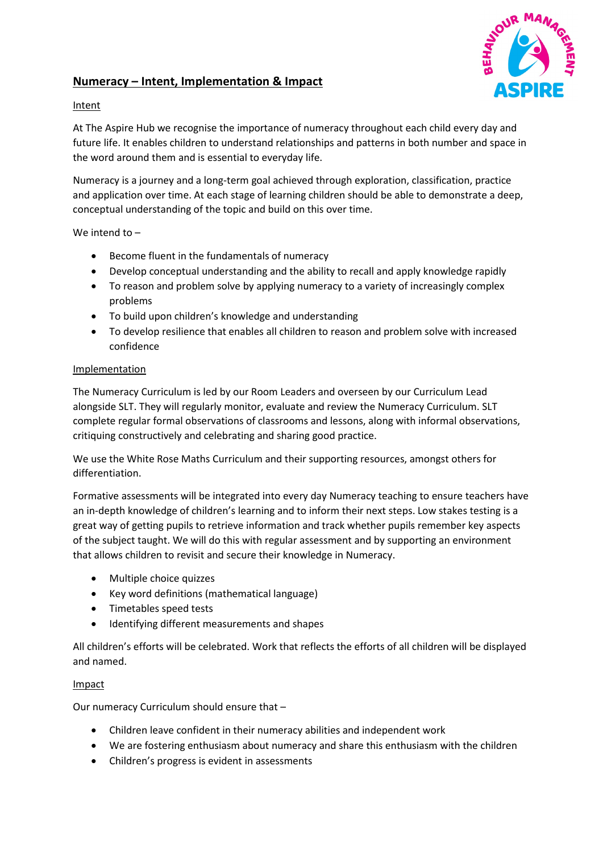

## **Numeracy – Intent, Implementation & Impact**

## Intent

At The Aspire Hub we recognise the importance of numeracy throughout each child every day and future life. It enables children to understand relationships and patterns in both number and space in the word around them and is essential to everyday life.

Numeracy is a journey and a long-term goal achieved through exploration, classification, practice and application over time. At each stage of learning children should be able to demonstrate a deep, conceptual understanding of the topic and build on this over time.

We intend to –

- Become fluent in the fundamentals of numeracy
- Develop conceptual understanding and the ability to recall and apply knowledge rapidly
- To reason and problem solve by applying numeracy to a variety of increasingly complex problems
- To build upon children's knowledge and understanding
- To develop resilience that enables all children to reason and problem solve with increased confidence

## Implementation

The Numeracy Curriculum is led by our Room Leaders and overseen by our Curriculum Lead alongside SLT. They will regularly monitor, evaluate and review the Numeracy Curriculum. SLT complete regular formal observations of classrooms and lessons, along with informal observations, critiquing constructively and celebrating and sharing good practice.

We use the White Rose Maths Curriculum and their supporting resources, amongst others for differentiation.

Formative assessments will be integrated into every day Numeracy teaching to ensure teachers have an in-depth knowledge of children's learning and to inform their next steps. Low stakes testing is a great way of getting pupils to retrieve information and track whether pupils remember key aspects of the subject taught. We will do this with regular assessment and by supporting an environment that allows children to revisit and secure their knowledge in Numeracy.

- Multiple choice quizzes
- Key word definitions (mathematical language)
- Timetables speed tests
- Identifying different measurements and shapes

All children's efforts will be celebrated. Work that reflects the efforts of all children will be displayed and named.

## Impact

Our numeracy Curriculum should ensure that –

- Children leave confident in their numeracy abilities and independent work
- We are fostering enthusiasm about numeracy and share this enthusiasm with the children
- Children's progress is evident in assessments